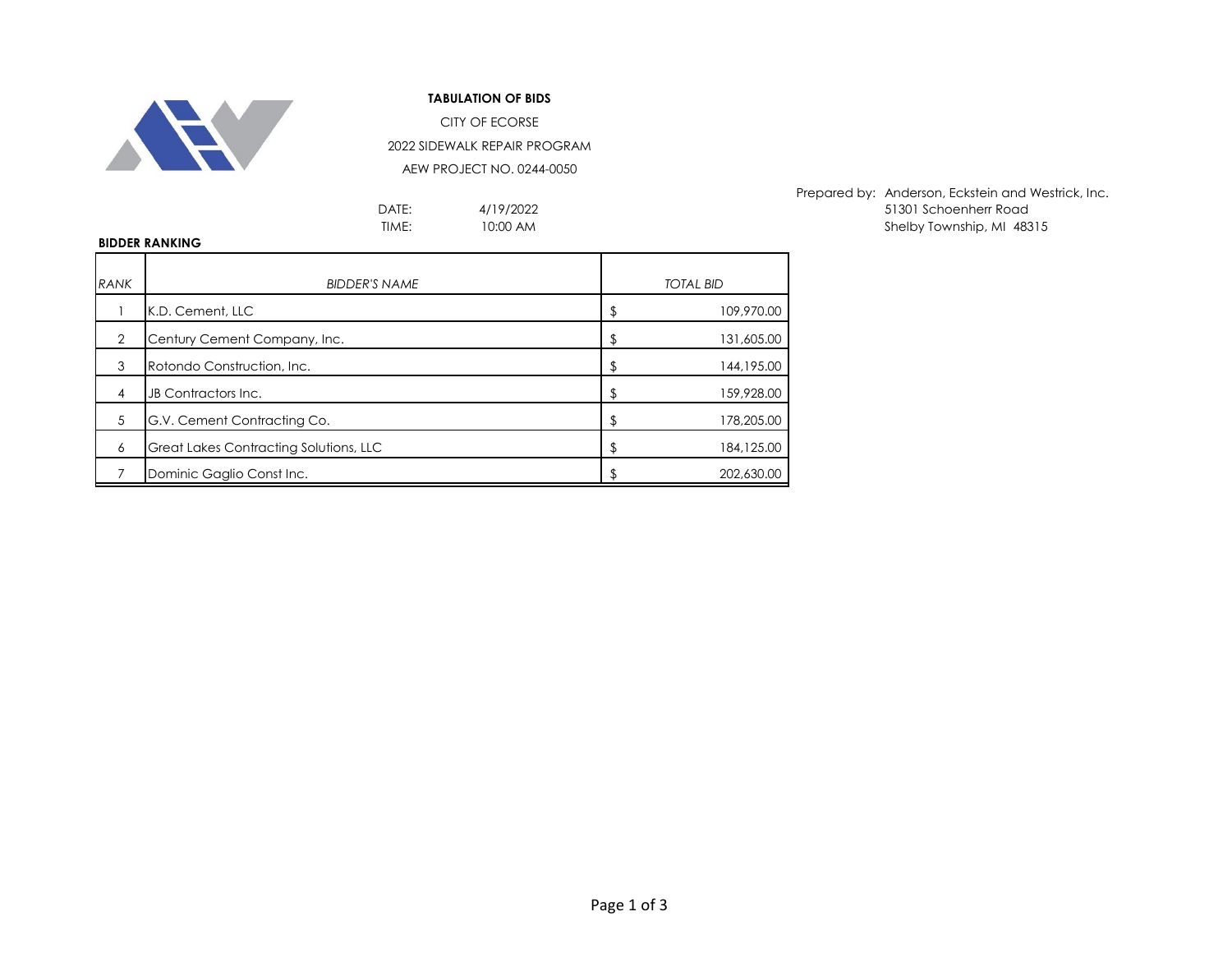

## **TABULATION OF BIDS**

CITY OF ECORSE 2022 SIDEWALK REPAIR PROGRAM

AEW PROJECT NO. 0244-0050

4/19/2022 10:00 AM

Prepared by: Anderson, Eckstein and Westrick, Inc. DATE:  $4/19/2022$  and  $51301$  Schoenherr Road TIME: TIME: IO:00 AM CONTEXTENT Shelby Township, MI 48315

## **BIDDER RANKING**

| <b>RANK</b> | <b>BIDDER'S NAME</b>                          | <b>TOTAL BID</b> |
|-------------|-----------------------------------------------|------------------|
|             | K.D. Cement, LLC                              | 109,970.00       |
| 2           | Century Cement Company, Inc.                  | 131,605.00       |
| 3           | Rotondo Construction, Inc.                    | 144, 195.00      |
| 4           | JB Contractors Inc.                           | 159,928.00       |
| 5           | G.V. Cement Contracting Co.                   | 178,205.00       |
| 6           | <b>Great Lakes Contracting Solutions, LLC</b> | 184,125.00       |
|             | Dominic Gaglio Const Inc.                     | 202,630,00       |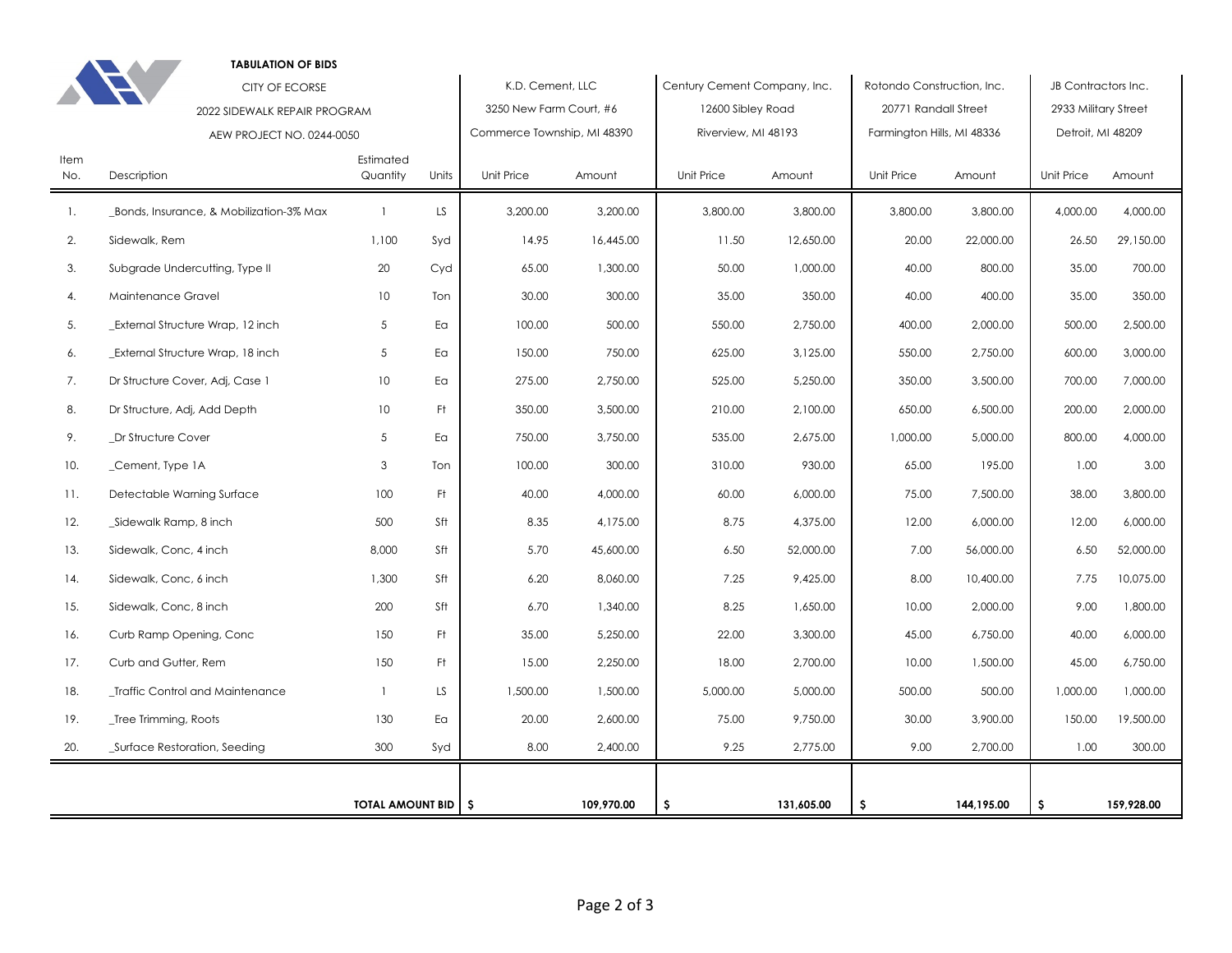|                              | <b>TABULATION OF BIDS</b>               |                       |                  |                             |                              |                     |                            |                            |                     |                      |            |
|------------------------------|-----------------------------------------|-----------------------|------------------|-----------------------------|------------------------------|---------------------|----------------------------|----------------------------|---------------------|----------------------|------------|
| <b>CITY OF ECORSE</b>        |                                         |                       | K.D. Cement, LLC |                             | Century Cement Company, Inc. |                     | Rotondo Construction, Inc. |                            | JB Contractors Inc. |                      |            |
|                              | 2022 SIDEWALK REPAIR PROGRAM            |                       |                  | 3250 New Farm Court, #6     |                              | 12600 Sibley Road   |                            | 20771 Randall Street       |                     | 2933 Military Street |            |
|                              | AEW PROJECT NO. 0244-0050               |                       |                  | Commerce Township, MI 48390 |                              | Riverview, MI 48193 |                            | Farmington Hills, MI 48336 |                     | Detroit, MI 48209    |            |
| Item<br>No.                  | Description                             | Estimated<br>Quantity | Units            | Unit Price                  | Amount                       | Unit Price          | Amount                     | Unit Price                 | Amount              | Unit Price           | Amount     |
| $\mathbf{1}$ .               | Bonds, Insurance, & Mobilization-3% Max | $\overline{1}$        | LS.              | 3,200.00                    | 3,200.00                     | 3,800.00            | 3,800.00                   | 3,800.00                   | 3,800.00            | 4,000.00             | 4,000.00   |
| 2.                           | Sidewalk, Rem                           | 1,100                 | Syd              | 14.95                       | 16,445.00                    | 11.50               | 12,650.00                  | 20.00                      | 22,000.00           | 26.50                | 29,150.00  |
| 3.                           | Subgrade Undercutting, Type II          | 20                    | Cyd              | 65.00                       | 1,300.00                     | 50.00               | 1,000.00                   | 40.00                      | 800.00              | 35.00                | 700.00     |
| 4.                           | Maintenance Gravel                      | 10 <sup>°</sup>       | Ton              | 30.00                       | 300.00                       | 35.00               | 350.00                     | 40.00                      | 400.00              | 35.00                | 350.00     |
| 5.                           | _External Structure Wrap, 12 inch       | 5                     | Ea               | 100.00                      | 500.00                       | 550.00              | 2,750.00                   | 400.00                     | 2,000.00            | 500.00               | 2,500.00   |
| 6.                           | _External Structure Wrap, 18 inch       | 5                     | Ea               | 150.00                      | 750.00                       | 625.00              | 3,125.00                   | 550.00                     | 2,750.00            | 600.00               | 3,000.00   |
| 7.                           | Dr Structure Cover, Adj, Case 1         | 10 <sup>°</sup>       | Ea               | 275.00                      | 2,750.00                     | 525.00              | 5,250.00                   | 350.00                     | 3,500.00            | 700.00               | 7,000.00   |
| 8.                           | Dr Structure, Adj, Add Depth            | 10                    | Ft               | 350.00                      | 3,500.00                     | 210.00              | 2,100.00                   | 650.00                     | 6,500.00            | 200.00               | 2,000.00   |
| 9.                           | Dr Structure Cover                      | 5                     | Ea               | 750.00                      | 3,750.00                     | 535.00              | 2,675.00                   | 1,000.00                   | 5,000.00            | 800.00               | 4,000.00   |
| 10.                          | _Cement, Type 1A                        | 3                     | Ton              | 100.00                      | 300.00                       | 310.00              | 930.00                     | 65.00                      | 195.00              | 1.00                 | 3.00       |
| 11.                          | Detectable Warning Surface              | 100                   | Ft.              | 40.00                       | 4,000.00                     | 60.00               | 6,000.00                   | 75.00                      | 7,500.00            | 38.00                | 3,800.00   |
| 12.                          | Sidewalk Ramp, 8 inch                   | 500                   | Sft              | 8.35                        | 4,175.00                     | 8.75                | 4,375.00                   | 12.00                      | 6,000.00            | 12.00                | 6,000.00   |
| 13.                          | Sidewalk, Conc, 4 inch                  | 8,000                 | Sft              | 5.70                        | 45,600.00                    | 6.50                | 52,000.00                  | 7.00                       | 56,000.00           | 6.50                 | 52,000.00  |
| 14.                          | Sidewalk, Conc, 6 inch                  | 1,300                 | Sft              | 6.20                        | 8,060.00                     | 7.25                | 9,425.00                   | 8.00                       | 10,400.00           | 7.75                 | 10,075.00  |
| 15.                          | Sidewalk, Conc, 8 inch                  | 200                   | Sft              | 6.70                        | 1,340.00                     | 8.25                | 1,650.00                   | 10.00                      | 2,000.00            | 9.00                 | 1,800.00   |
| 16.                          | Curb Ramp Opening, Conc                 | 150                   | Ft               | 35.00                       | 5,250.00                     | 22.00               | 3,300.00                   | 45.00                      | 6,750.00            | 40.00                | 6,000.00   |
| 17.                          | Curb and Gutter, Rem                    | 150                   | Ft               | 15.00                       | 2,250.00                     | 18.00               | 2,700.00                   | 10.00                      | 1,500.00            | 45.00                | 6,750.00   |
| 18.                          | _Traffic Control and Maintenance        | $\overline{1}$        | LS               | 1,500.00                    | 1,500.00                     | 5,000.00            | 5,000.00                   | 500.00                     | 500.00              | 1,000.00             | 1,000.00   |
| 19.                          | _Tree Trimming, Roots                   | 130                   | Ea               | 20.00                       | 2,600.00                     | 75.00               | 9,750.00                   | 30.00                      | 3,900.00            | 150.00               | 19,500.00  |
| 20.                          | _Surface Restoration, Seeding           | 300                   | Syd              | 8.00                        | 2,400.00                     | 9.25                | 2,775.00                   | 9.00                       | 2,700.00            | 1.00                 | 300.00     |
|                              |                                         |                       |                  |                             |                              |                     |                            |                            |                     |                      |            |
| <b>TOTAL AMOUNT BID   \$</b> |                                         |                       |                  |                             | 109.970.00                   | S.                  | 131,605.00                 | \$                         | 144,195.00          | \$.                  | 159,928.00 |